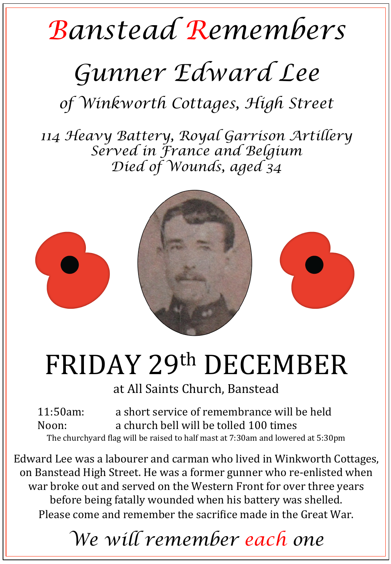## *Banstead Remembers*

## *Gunner Edward Lee*

*of Winkworth Cottages, High Street* 

*114 Heavy Battery, Royal Garrison Artillery Served in France and Belgium Died of Wounds, aged 34* 



## FRIDAY 29th DECEMBER

at All Saints Church, Banstead

11:50am: a short service of remembrance will be held Noon: a church bell will be tolled 100 times The churchyard flag will be raised to half mast at 7:30am and lowered at 5:30pm

Edward Lee was a labourer and carman who lived in Winkworth Cottages, on Banstead High Street. He was a former gunner who re-enlisted when war broke out and served on the Western Front for over three years before being fatally wounded when his battery was shelled. Please come and remember the sacrifice made in the Great War.

*We will remember each one*